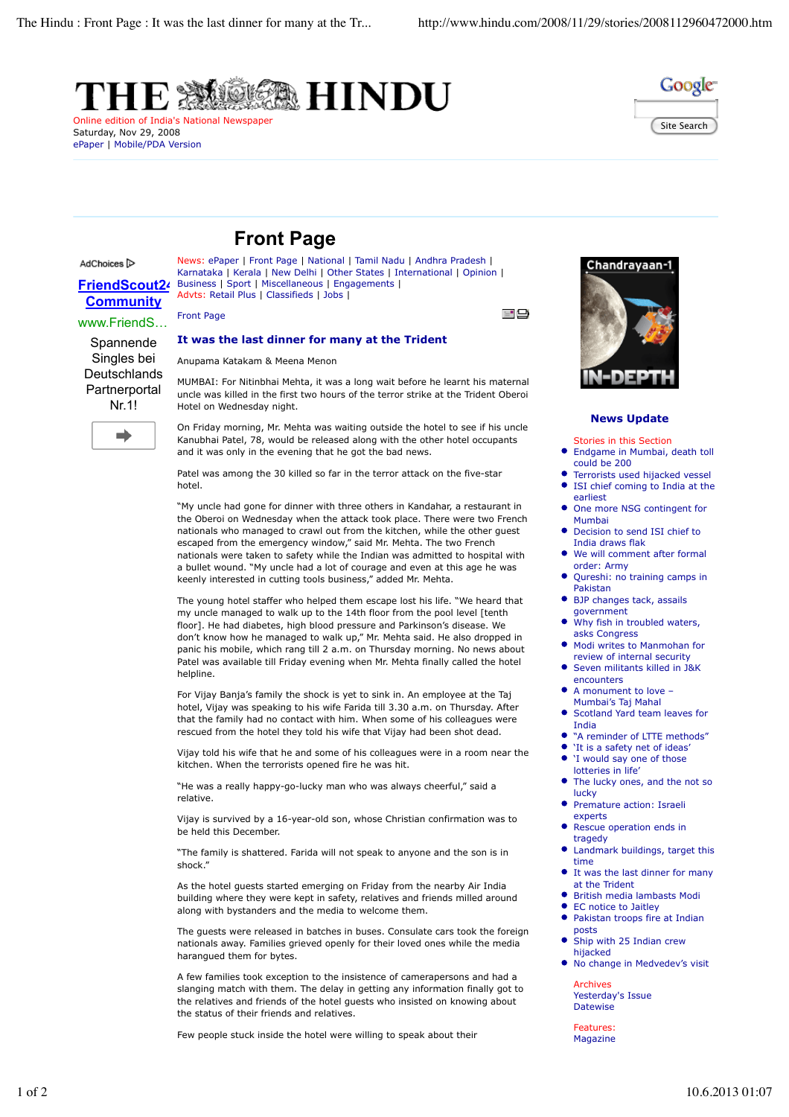



## **Front Page**

Business | Sport | Miscellaneous | Engagements |

## AdChoices<sup>[></sup>

**FriendScout24 Community**

www.FriendS … Spannende Singles bei **Deutschlands Partnerportal** Nr.1!

 $\Rightarrow$ 

Front Page

## **It was the last dinner for many at the Trident**

News: ePaper | Front Page | National | Tamil Nadu | Andhra Pradesh | Karnataka | Kerala | New Delhi | Other States | International | Opinion |

Anupama Katakam & Meena Menon

Advts: Retail Plus | Classifieds | Jobs |

MUMBAI: For Nitinbhai Mehta, it was a long wait before he learnt his maternal uncle was killed in the first two hours of the terror strike at the Trident Oberoi Hotel on Wednesday night.

On Friday morning, Mr. Mehta was waiting outside the hotel to see if his uncle Kanubhai Patel, 78, would be released along with the other hotel occupants and it was only in the evening that he got the bad news.

Patel was among the 30 killed so far in the terror attack on the five-star hotel.

"My uncle had gone for dinner with three others in Kandahar, a restaurant in the Oberoi on Wednesday when the attack took place. There were two French nationals who managed to crawl out from the kitchen, while the other guest escaped from the emergency window," said Mr. Mehta. The two French nationals were taken to safety while the Indian was admitted to hospital with a bullet wound. "My uncle had a lot of courage and even at this age he was keenly interested in cutting tools business," added Mr. Mehta.

The young hotel staffer who helped them escape lost his life. "We heard that my uncle managed to walk up to the 14th floor from the pool level [tenth floor]. He had diabetes, high blood pressure and Parkinson's disease. We don't know how he managed to walk up," Mr. Mehta said. He also dropped in panic his mobile, which rang till 2 a.m. on Thursday morning. No news about Patel was available till Friday evening when Mr. Mehta finally called the hotel helpline.

For Vijay Banja's family the shock is yet to sink in. An employee at the Taj hotel, Vijay was speaking to his wife Farida till 3.30 a.m. on Thursday. After that the family had no contact with him. When some of his colleagues were rescued from the hotel they told his wife that Vijay had been shot dead.

Vijay told his wife that he and some of his colleagues were in a room near the kitchen. When the terrorists opened fire he was hit.

"He was a really happy-go-lucky man who was always cheerful," said a relative.

Vijay is survived by a 16-year-old son, whose Christian confirmation was to be held this December.

"The family is shattered. Farida will not speak to anyone and the son is in shock."

As the hotel guests started emerging on Friday from the nearby Air India building where they were kept in safety, relatives and friends milled around along with bystanders and the media to welcome them.

The guests were released in batches in buses. Consulate cars took the foreign nationals away. Families grieved openly for their loved ones while the media harangued them for bytes.

A few families took exception to the insistence of camerapersons and had a slanging match with them. The delay in getting any information finally got to the relatives and friends of the hotel guests who insisted on knowing about the status of their friends and relatives.

Few people stuck inside the hotel were willing to speak about their



- 8

## **News Update**

- Stories in this Section Endgame in Mumbai, death toll
- could be 200
- Terrorists used hijacked vessel ISI chief coming to India at the earliest
- $\bullet$  One more NSG contingent for Mumbai
- Decision to send ISI chief to India draws flak
- $\bullet$ We will comment after formal order: Army
- Qureshi: no training camps in Pakistan
- BJP changes tack, assails government
- Why fish in troubled waters, asks Congress
- Modi writes to Manmohan for review of internal security
- Seven militants killed in J&K encounters
- A monument to love Mumbai's Taj Mahal
- Scotland Yard team leaves for India
- "A reminder of LTTE methods"
- 'It is a safety net of ideas'  $\bullet$ 'I would say one of those
- lotteries in life' The lucky ones, and the not so lucky
- $\bullet$ Premature action: Israeli experts
- $\bullet$ Rescue operation ends in tragedy
- Landmark buildings, target this time
- It was the last dinner for many at the Trident
- British media lambasts Modi
- EC notice to Jaitley Pakistan troops fire at Indian  $\bullet$
- posts  $\bullet$ Ship with 25 Indian crew
- hijacked No change in Medvedev's visit  $\bullet$

Archives Yesterday's Issue Datewise

Features: Magazine